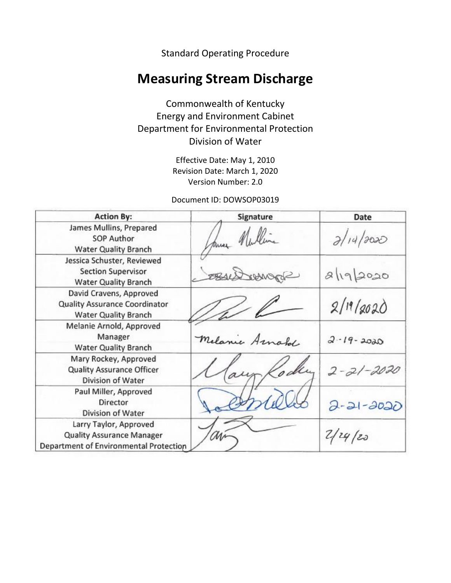Standard Operating Procedure

# **Measuring Stream Discharge**

Commonwealth of Kentucky Energy and Environment Cabinet Department for Environmental Protection Division of Water

> Effective Date: May 1, 2010 Revision Date: March 1, 2020 Version Number: 2.0

Document ID: DOWSOP03019

| <b>Action By:</b>                                                                                    | Signature         | Date             |
|------------------------------------------------------------------------------------------------------|-------------------|------------------|
| James Mullins, Prepared<br><b>SOP Author</b><br><b>Water Quality Branch</b>                          | huer Nulling      | 2/14/2020        |
| Jessica Schuster, Reviewed<br><b>Section Supervisor</b><br><b>Water Quality Branch</b>               | ShaenAust<br>2841 | $8\sqrt{19}2020$ |
| David Cravens, Approved<br>Quality Assurance Coordinator<br><b>Water Quality Branch</b>              |                   | 2/19/2020        |
| Melanie Arnold, Approved<br>Manager<br><b>Water Quality Branch</b>                                   | Melanie Arnahl    | $2 - 19 - 2020$  |
| Mary Rockey, Approved<br><b>Quality Assurance Officer</b><br>Division of Water                       |                   | $2 - 21 - 2020$  |
| Paul Miller, Approved<br>Director<br>Division of Water                                               |                   | $2 - 21 - 2020$  |
| Larry Taylor, Approved<br><b>Quality Assurance Manager</b><br>Department of Environmental Protection |                   | 2/24/20          |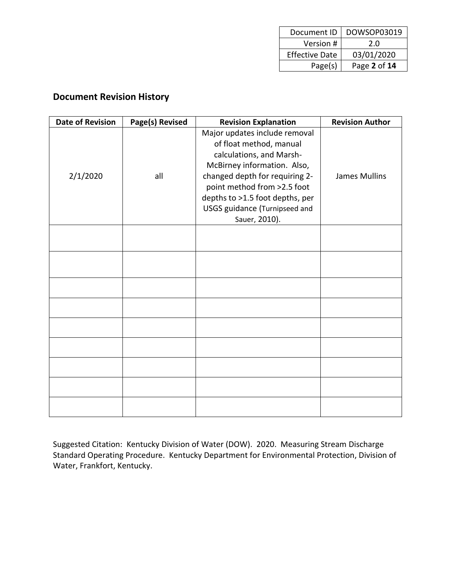| Document ID           | DOWSOP03019  |
|-----------------------|--------------|
| Version #             | 2.0          |
| <b>Effective Date</b> | 03/01/2020   |
| Page(s)               | Page 2 of 14 |

# **Document Revision History**

| <b>Date of Revision</b> | Page(s) Revised | <b>Revision Explanation</b>                                                                                                                                                                                                                                                      | <b>Revision Author</b> |
|-------------------------|-----------------|----------------------------------------------------------------------------------------------------------------------------------------------------------------------------------------------------------------------------------------------------------------------------------|------------------------|
| 2/1/2020                | all             | Major updates include removal<br>of float method, manual<br>calculations, and Marsh-<br>McBirney information. Also,<br>changed depth for requiring 2-<br>point method from >2.5 foot<br>depths to >1.5 foot depths, per<br><b>USGS guidance (Turnipseed and</b><br>Sauer, 2010). | James Mullins          |
|                         |                 |                                                                                                                                                                                                                                                                                  |                        |
|                         |                 |                                                                                                                                                                                                                                                                                  |                        |
|                         |                 |                                                                                                                                                                                                                                                                                  |                        |
|                         |                 |                                                                                                                                                                                                                                                                                  |                        |
|                         |                 |                                                                                                                                                                                                                                                                                  |                        |
|                         |                 |                                                                                                                                                                                                                                                                                  |                        |
|                         |                 |                                                                                                                                                                                                                                                                                  |                        |
|                         |                 |                                                                                                                                                                                                                                                                                  |                        |
|                         |                 |                                                                                                                                                                                                                                                                                  |                        |

Suggested Citation: Kentucky Division of Water (DOW). 2020. Measuring Stream Discharge Standard Operating Procedure. Kentucky Department for Environmental Protection, Division of Water, Frankfort, Kentucky.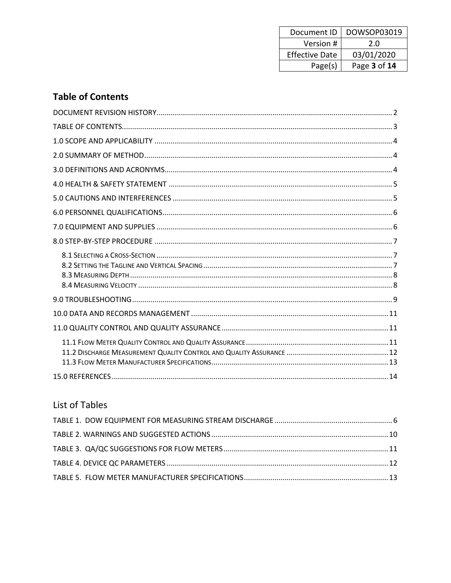| Document ID           | DOWSOP03019  |
|-----------------------|--------------|
| Version #             | 2.0          |
| <b>Effective Date</b> | 03/01/2020   |
| Page(s)               | Page 3 of 14 |

# **Table of Contents**

# List of Tables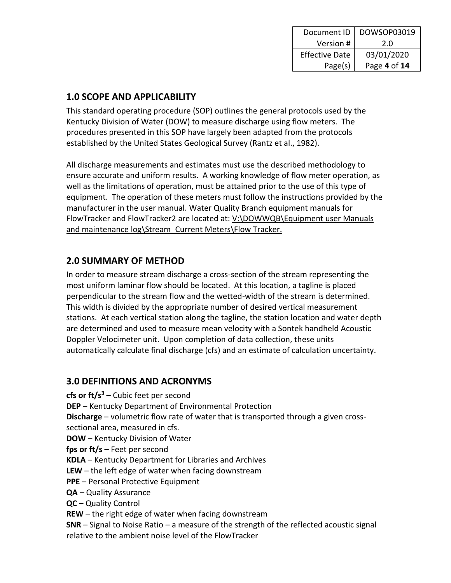| Document ID           | DOWSOP03019  |
|-----------------------|--------------|
| Version #             | 2.0          |
| <b>Effective Date</b> | 03/01/2020   |
| Page(s)               | Page 4 of 14 |

### **1.0 SCOPE AND APPLICABILITY**

This standard operating procedure (SOP) outlines the general protocols used by the Kentucky Division of Water (DOW) to measure discharge using flow meters. The procedures presented in this SOP have largely been adapted from the protocols established by the United States Geological Survey (Rantz et al., 1982).

All discharge measurements and estimates must use the described methodology to ensure accurate and uniform results. A working knowledge of flow meter operation, as well as the limitations of operation, must be attained prior to the use of this type of equipment. The operation of these meters must follow the instructions provided by the manufacturer in the user manual. Water Quality Branch equipment manuals for FlowTracker and FlowTracker2 are located at: V:\DOWWQB\Equipment user Manuals and maintenance log\Stream\_Current Meters\Flow Tracker.

### **2.0 SUMMARY OF METHOD**

In order to measure stream discharge a cross-section of the stream representing the most uniform laminar flow should be located. At this location, a tagline is placed perpendicular to the stream flow and the wetted-width of the stream is determined. This width is divided by the appropriate number of desired vertical measurement stations. At each vertical station along the tagline, the station location and water depth are determined and used to measure mean velocity with a Sontek handheld Acoustic Doppler Velocimeter unit. Upon completion of data collection, these units automatically calculate final discharge (cfs) and an estimate of calculation uncertainty.

### **3.0 DEFINITIONS AND ACRONYMS**

- **cfs or ft/s<sup>3</sup>** Cubic feet per second
- **DEP**  Kentucky Department of Environmental Protection

**Discharge** – volumetric flow rate of water that is transported through a given crosssectional area, measured in cfs.

- **DOW** Kentucky Division of Water
- **fps or ft/s** Feet per second
- **KDLA**  Kentucky Department for Libraries and Archives
- **LEW** the left edge of water when facing downstream
- **PPE** Personal Protective Equipment
- **QA**  Quality Assurance
- **QC**  Quality Control
- **REW** the right edge of water when facing downstream

**SNR** – Signal to Noise Ratio – a measure of the strength of the reflected acoustic signal relative to the ambient noise level of the FlowTracker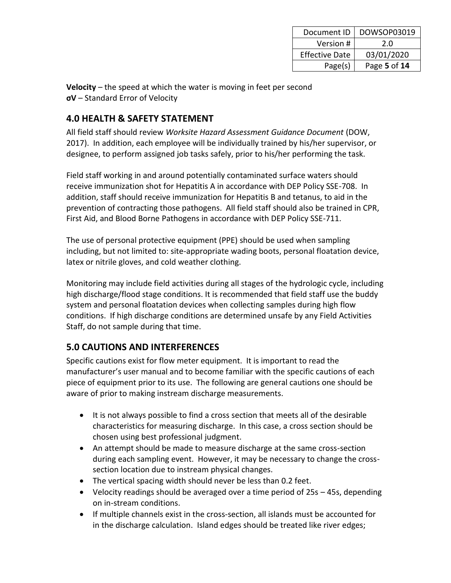| Document ID           | DOWSOP03019  |
|-----------------------|--------------|
| Version #             | 2.0          |
| <b>Effective Date</b> | 03/01/2020   |
| Page(s)               | Page 5 of 14 |

**Velocity** – the speed at which the water is moving in feet per second **σV** – Standard Error of Velocity

### **4.0 HEALTH & SAFETY STATEMENT**

All field staff should review *Worksite Hazard Assessment Guidance Document* (DOW, 2017). In addition, each employee will be individually trained by his/her supervisor, or designee, to perform assigned job tasks safely, prior to his/her performing the task.

Field staff working in and around potentially contaminated surface waters should receive immunization shot for Hepatitis A in accordance with DEP Policy SSE-708. In addition, staff should receive immunization for Hepatitis B and tetanus, to aid in the prevention of contracting those pathogens. All field staff should also be trained in CPR, First Aid, and Blood Borne Pathogens in accordance with DEP Policy SSE-711.

The use of personal protective equipment (PPE) should be used when sampling including, but not limited to: site-appropriate wading boots, personal floatation device, latex or nitrile gloves, and cold weather clothing.

Monitoring may include field activities during all stages of the hydrologic cycle, including high discharge/flood stage conditions. It is recommended that field staff use the buddy system and personal floatation devices when collecting samples during high flow conditions. If high discharge conditions are determined unsafe by any Field Activities Staff, do not sample during that time.

# **5.0 CAUTIONS AND INTERFERENCES**

Specific cautions exist for flow meter equipment. It is important to read the manufacturer's user manual and to become familiar with the specific cautions of each piece of equipment prior to its use. The following are general cautions one should be aware of prior to making instream discharge measurements.

- It is not always possible to find a cross section that meets all of the desirable characteristics for measuring discharge. In this case, a cross section should be chosen using best professional judgment.
- An attempt should be made to measure discharge at the same cross-section during each sampling event. However, it may be necessary to change the crosssection location due to instream physical changes.
- The vertical spacing width should never be less than 0.2 feet.
- Velocity readings should be averaged over a time period of 25s 45s, depending on in-stream conditions.
- If multiple channels exist in the cross-section, all islands must be accounted for in the discharge calculation. Island edges should be treated like river edges;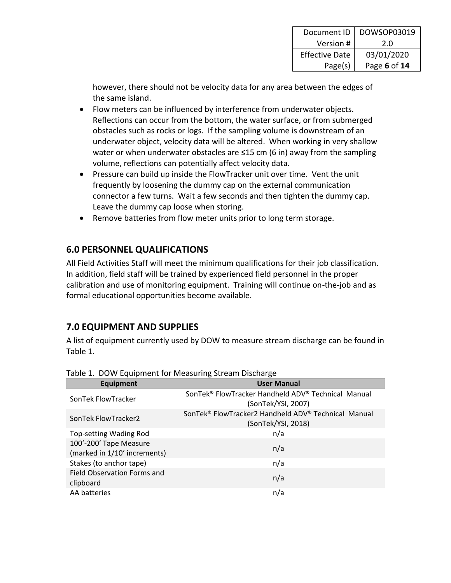| Document ID           | DOWSOP03019  |
|-----------------------|--------------|
| Version #             | 2.0          |
| <b>Effective Date</b> | 03/01/2020   |
| Page(s)               | Page 6 of 14 |

however, there should not be velocity data for any area between the edges of the same island.

- Flow meters can be influenced by interference from underwater objects. Reflections can occur from the bottom, the water surface, or from submerged obstacles such as rocks or logs. If the sampling volume is downstream of an underwater object, velocity data will be altered. When working in very shallow water or when underwater obstacles are ≤15 cm (6 in) away from the sampling volume, reflections can potentially affect velocity data.
- Pressure can build up inside the FlowTracker unit over time. Vent the unit frequently by loosening the dummy cap on the external communication connector a few turns. Wait a few seconds and then tighten the dummy cap. Leave the dummy cap loose when storing.
- Remove batteries from flow meter units prior to long term storage.

### **6.0 PERSONNEL QUALIFICATIONS**

All Field Activities Staff will meet the minimum qualifications for their job classification. In addition, field staff will be trained by experienced field personnel in the proper calibration and use of monitoring equipment. Training will continue on-the-job and as formal educational opportunities become available.

# **7.0 EQUIPMENT AND SUPPLIES**

A list of equipment currently used by DOW to measure stream discharge can be found in Table 1.

| Equipment                                              | <b>User Manual</b>                                                        |
|--------------------------------------------------------|---------------------------------------------------------------------------|
| SonTek FlowTracker                                     | SonTek® FlowTracker Handheld ADV® Technical Manual<br>(SonTek/YSI, 2007)  |
| SonTek FlowTracker2                                    | SonTek® FlowTracker2 Handheld ADV® Technical Manual<br>(SonTek/YSI, 2018) |
| Top-setting Wading Rod                                 | n/a                                                                       |
| 100'-200' Tape Measure<br>(marked in 1/10' increments) | n/a                                                                       |
| Stakes (to anchor tape)                                | n/a                                                                       |
| Field Observation Forms and<br>clipboard               | n/a                                                                       |
| AA batteries                                           | n/a                                                                       |

Table 1. DOW Equipment for Measuring Stream Discharge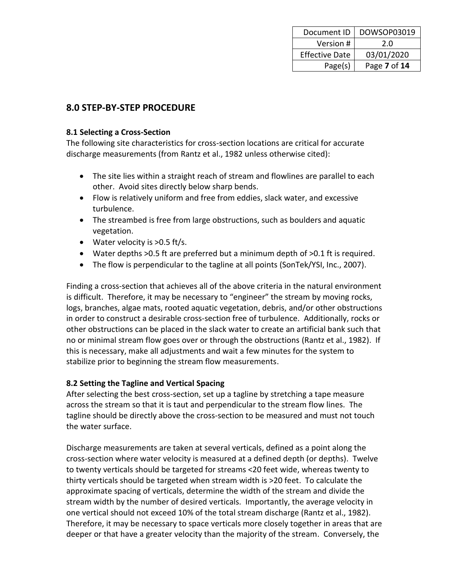| Document ID           | DOWSOP03019  |
|-----------------------|--------------|
| Version #             | 2.0          |
| <b>Effective Date</b> | 03/01/2020   |
| Page(s)               | Page 7 of 14 |

### **8.0 STEP-BY-STEP PROCEDURE**

#### **8.1 Selecting a Cross-Section**

The following site characteristics for cross-section locations are critical for accurate discharge measurements (from Rantz et al., 1982 unless otherwise cited):

- The site lies within a straight reach of stream and flowlines are parallel to each other. Avoid sites directly below sharp bends.
- Flow is relatively uniform and free from eddies, slack water, and excessive turbulence.
- The streambed is free from large obstructions, such as boulders and aquatic vegetation.
- Water velocity is >0.5 ft/s.
- Water depths >0.5 ft are preferred but a minimum depth of >0.1 ft is required.
- The flow is perpendicular to the tagline at all points (SonTek/YSI, Inc., 2007).

Finding a cross-section that achieves all of the above criteria in the natural environment is difficult. Therefore, it may be necessary to "engineer" the stream by moving rocks, logs, branches, algae mats, rooted aquatic vegetation, debris, and/or other obstructions in order to construct a desirable cross-section free of turbulence. Additionally, rocks or other obstructions can be placed in the slack water to create an artificial bank such that no or minimal stream flow goes over or through the obstructions (Rantz et al., 1982). If this is necessary, make all adjustments and wait a few minutes for the system to stabilize prior to beginning the stream flow measurements.

#### **8.2 Setting the Tagline and Vertical Spacing**

After selecting the best cross-section, set up a tagline by stretching a tape measure across the stream so that it is taut and perpendicular to the stream flow lines. The tagline should be directly above the cross-section to be measured and must not touch the water surface.

Discharge measurements are taken at several verticals, defined as a point along the cross-section where water velocity is measured at a defined depth (or depths). Twelve to twenty verticals should be targeted for streams <20 feet wide, whereas twenty to thirty verticals should be targeted when stream width is >20 feet. To calculate the approximate spacing of verticals, determine the width of the stream and divide the stream width by the number of desired verticals. Importantly, the average velocity in one vertical should not exceed 10% of the total stream discharge (Rantz et al., 1982). Therefore, it may be necessary to space verticals more closely together in areas that are deeper or that have a greater velocity than the majority of the stream. Conversely, the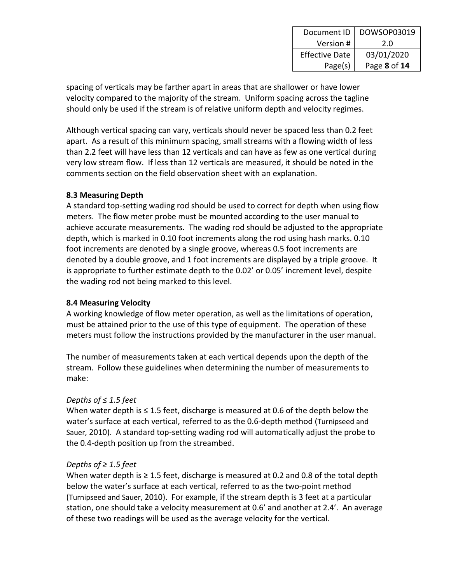| Document ID           | DOWSOP03019  |
|-----------------------|--------------|
| Version #             | 2.0          |
| <b>Effective Date</b> | 03/01/2020   |
| Page(s)               | Page 8 of 14 |

spacing of verticals may be farther apart in areas that are shallower or have lower velocity compared to the majority of the stream. Uniform spacing across the tagline should only be used if the stream is of relative uniform depth and velocity regimes.

Although vertical spacing can vary, verticals should never be spaced less than 0.2 feet apart. As a result of this minimum spacing, small streams with a flowing width of less than 2.2 feet will have less than 12 verticals and can have as few as one vertical during very low stream flow. If less than 12 verticals are measured, it should be noted in the comments section on the field observation sheet with an explanation.

#### **8.3 Measuring Depth**

A standard top-setting wading rod should be used to correct for depth when using flow meters. The flow meter probe must be mounted according to the user manual to achieve accurate measurements. The wading rod should be adjusted to the appropriate depth, which is marked in 0.10 foot increments along the rod using hash marks. 0.10 foot increments are denoted by a single groove, whereas 0.5 foot increments are denoted by a double groove, and 1 foot increments are displayed by a triple groove. It is appropriate to further estimate depth to the 0.02' or 0.05' increment level, despite the wading rod not being marked to this level.

#### **8.4 Measuring Velocity**

A working knowledge of flow meter operation, as well as the limitations of operation, must be attained prior to the use of this type of equipment. The operation of these meters must follow the instructions provided by the manufacturer in the user manual.

The number of measurements taken at each vertical depends upon the depth of the stream. Follow these guidelines when determining the number of measurements to make:

### *Depths of ≤ 1.5 feet*

When water depth is  $\leq 1.5$  feet, discharge is measured at 0.6 of the depth below the water's surface at each vertical, referred to as the 0.6-depth method (Turnipseed and Sauer, 2010). A standard top-setting wading rod will automatically adjust the probe to the 0.4-depth position up from the streambed.

#### *Depths of ≥ 1.5 feet*

When water depth is  $\geq 1.5$  feet, discharge is measured at 0.2 and 0.8 of the total depth below the water's surface at each vertical, referred to as the two-point method (Turnipseed and Sauer, 2010). For example, if the stream depth is 3 feet at a particular station, one should take a velocity measurement at 0.6' and another at 2.4'. An average of these two readings will be used as the average velocity for the vertical.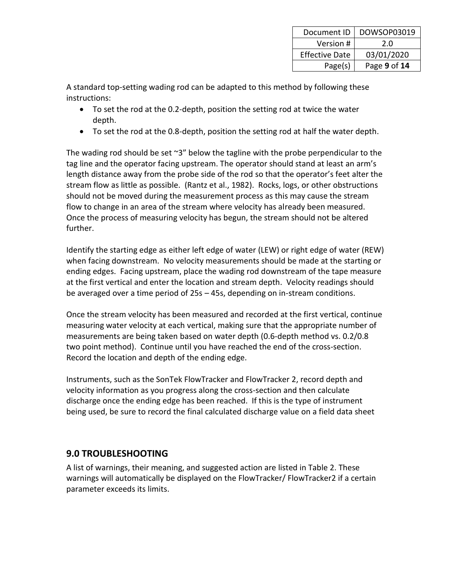| Document ID           | DOWSOP03019  |
|-----------------------|--------------|
| Version #             | 2.0          |
| <b>Effective Date</b> | 03/01/2020   |
| Page(s)               | Page 9 of 14 |

A standard top-setting wading rod can be adapted to this method by following these instructions:

- To set the rod at the 0.2-depth, position the setting rod at twice the water depth.
- To set the rod at the 0.8-depth, position the setting rod at half the water depth.

The wading rod should be set  $\gamma 3''$  below the tagline with the probe perpendicular to the tag line and the operator facing upstream. The operator should stand at least an arm's length distance away from the probe side of the rod so that the operator's feet alter the stream flow as little as possible. (Rantz et al., 1982). Rocks, logs, or other obstructions should not be moved during the measurement process as this may cause the stream flow to change in an area of the stream where velocity has already been measured. Once the process of measuring velocity has begun, the stream should not be altered further.

Identify the starting edge as either left edge of water (LEW) or right edge of water (REW) when facing downstream. No velocity measurements should be made at the starting or ending edges. Facing upstream, place the wading rod downstream of the tape measure at the first vertical and enter the location and stream depth. Velocity readings should be averaged over a time period of 25s – 45s, depending on in-stream conditions.

Once the stream velocity has been measured and recorded at the first vertical, continue measuring water velocity at each vertical, making sure that the appropriate number of measurements are being taken based on water depth (0.6-depth method vs. 0.2/0.8 two point method). Continue until you have reached the end of the cross-section. Record the location and depth of the ending edge.

Instruments, such as the SonTek FlowTracker and FlowTracker 2, record depth and velocity information as you progress along the cross-section and then calculate discharge once the ending edge has been reached. If this is the type of instrument being used, be sure to record the final calculated discharge value on a field data sheet

### **9.0 TROUBLESHOOTING**

A list of warnings, their meaning, and suggested action are listed in Table 2. These warnings will automatically be displayed on the FlowTracker/ FlowTracker2 if a certain parameter exceeds its limits.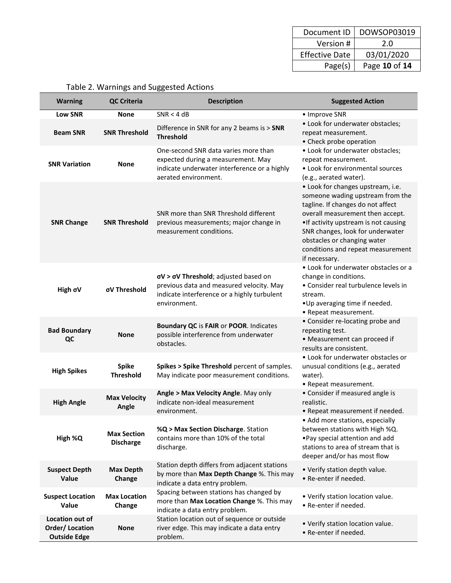| Document ID           | DOWSOP03019   |
|-----------------------|---------------|
| Version #             | 2.0           |
| <b>Effective Date</b> | 03/01/2020    |
| Page(s)               | Page 10 of 14 |

| <b>Warning</b>                                                  | <b>QC Criteria</b>                     | <b>Description</b>                                                                                                                                              | <b>Suggested Action</b>                                                                                                                                                                                                                                                                                          |  |
|-----------------------------------------------------------------|----------------------------------------|-----------------------------------------------------------------------------------------------------------------------------------------------------------------|------------------------------------------------------------------------------------------------------------------------------------------------------------------------------------------------------------------------------------------------------------------------------------------------------------------|--|
| Low SNR                                                         | <b>None</b>                            | SNR < 4 dB                                                                                                                                                      | • Improve SNR                                                                                                                                                                                                                                                                                                    |  |
| <b>Beam SNR</b>                                                 | <b>SNR Threshold</b>                   | Difference in SNR for any 2 beams is > SNR<br><b>Threshold</b>                                                                                                  | • Look for underwater obstacles;<br>repeat measurement.<br>• Check probe operation                                                                                                                                                                                                                               |  |
| <b>SNR Variation</b>                                            | <b>None</b>                            | One-second SNR data varies more than<br>expected during a measurement. May<br>indicate underwater interference or a highly<br>aerated environment.              | • Look for underwater obstacles;<br>repeat measurement.<br>• Look for environmental sources<br>(e.g., aerated water).                                                                                                                                                                                            |  |
| <b>SNR Change</b>                                               | <b>SNR Threshold</b>                   | SNR more than SNR Threshold different<br>previous measurements; major change in<br>measurement conditions.                                                      | • Look for changes upstream, i.e.<br>someone wading upstream from the<br>tagline. If changes do not affect<br>overall measurement then accept.<br>. If activity upstream is not causing<br>SNR changes, look for underwater<br>obstacles or changing water<br>conditions and repeat measurement<br>if necessary. |  |
| High oV                                                         | σV Threshold                           | $\sigma V$ > $\sigma V$ Threshold; adjusted based on<br>previous data and measured velocity. May<br>indicate interference or a highly turbulent<br>environment. | • Look for underwater obstacles or a<br>change in conditions.<br>• Consider real turbulence levels in<br>stream.<br>.Up averaging time if needed.<br>• Repeat measurement.                                                                                                                                       |  |
| <b>Bad Boundary</b><br>QC                                       | <b>None</b>                            | Boundary QC is FAIR or POOR. Indicates<br>possible interference from underwater<br>obstacles.                                                                   | • Consider re-locating probe and<br>repeating test.<br>• Measurement can proceed if<br>results are consistent.                                                                                                                                                                                                   |  |
| <b>High Spikes</b>                                              | <b>Spike</b><br><b>Threshold</b>       | Spikes > Spike Threshold percent of samples.<br>May indicate poor measurement conditions.                                                                       | • Look for underwater obstacles or<br>unusual conditions (e.g., aerated<br>water).<br>• Repeat measurement.                                                                                                                                                                                                      |  |
| <b>High Angle</b>                                               | <b>Max Velocity</b><br>Angle           | Angle > Max Velocity Angle. May only<br>indicate non-ideal measurement<br>environment.                                                                          | • Consider if measured angle is<br>realistic.<br>• Repeat measurement if needed.                                                                                                                                                                                                                                 |  |
| High %Q                                                         | <b>Max Section</b><br><b>Discharge</b> | %Q > Max Section Discharge. Station<br>contains more than 10% of the total<br>discharge.                                                                        | • Add more stations, especially<br>between stations with High %Q.<br>. Pay special attention and add<br>stations to area of stream that is<br>deeper and/or has most flow                                                                                                                                        |  |
| <b>Suspect Depth</b><br>Value                                   | <b>Max Depth</b><br>Change             | Station depth differs from adjacent stations<br>by more than Max Depth Change %. This may<br>indicate a data entry problem.                                     | • Verify station depth value.<br>• Re-enter if needed.                                                                                                                                                                                                                                                           |  |
| <b>Suspect Location</b><br>Value                                | <b>Max Location</b><br>Change          | Spacing between stations has changed by<br>more than Max Location Change %. This may<br>indicate a data entry problem.                                          | • Verify station location value.<br>• Re-enter if needed.                                                                                                                                                                                                                                                        |  |
| Location out of<br><b>Order/Location</b><br><b>Outside Edge</b> | <b>None</b>                            | Station location out of sequence or outside<br>river edge. This may indicate a data entry<br>problem.                                                           | • Verify station location value.<br>• Re-enter if needed.                                                                                                                                                                                                                                                        |  |

# Table 2. Warnings and Suggested Actions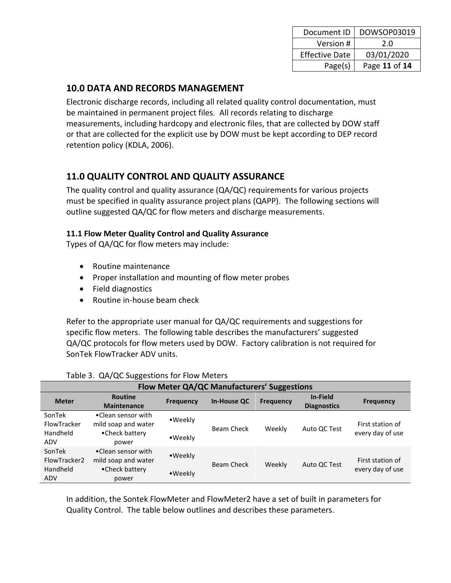| Document ID           | DOWSOP03019   |
|-----------------------|---------------|
| Version #             | 2.0           |
| <b>Effective Date</b> | 03/01/2020    |
| Page(s)               | Page 11 of 14 |

### **10.0 DATA AND RECORDS MANAGEMENT**

Electronic discharge records, including all related quality control documentation, must be maintained in permanent project files. All records relating to discharge measurements, including hardcopy and electronic files, that are collected by DOW staff or that are collected for the explicit use by DOW must be kept according to DEP record retention policy (KDLA, 2006).

### **11.0 QUALITY CONTROL AND QUALITY ASSURANCE**

The quality control and quality assurance (QA/QC) requirements for various projects must be specified in quality assurance project plans (QAPP). The following sections will outline suggested QA/QC for flow meters and discharge measurements.

### **11.1 Flow Meter Quality Control and Quality Assurance**

Types of QA/QC for flow meters may include:

- Routine maintenance
- Proper installation and mounting of flow meter probes
- Field diagnostics
- Routine in-house beam check

Refer to the appropriate user manual for QA/QC requirements and suggestions for specific flow meters. The following table describes the manufacturers' suggested QA/QC protocols for flow meters used by DOW. Factory calibration is not required for SonTek FlowTracker ADV units.

| <b>Flow Meter QA/QC Manufacturers' Suggestions</b> |                                                                      |                    |                    |                  |                                |                                      |
|----------------------------------------------------|----------------------------------------------------------------------|--------------------|--------------------|------------------|--------------------------------|--------------------------------------|
| <b>Meter</b>                                       | <b>Routine</b><br><b>Maintenance</b>                                 | <b>Frequency</b>   | <b>In-House QC</b> | <b>Frequency</b> | In-Field<br><b>Diagnostics</b> | <b>Frequency</b>                     |
| SonTek<br>FlowTracker<br>Handheld<br>ADV           | •Clean sensor with<br>mild soap and water<br>•Check battery<br>power | •Weekly<br>•Weekly | Beam Check         | Weekly           | Auto QC Test                   | First station of<br>every day of use |
| SonTek<br>FlowTracker2<br>Handheld<br><b>ADV</b>   | •Clean sensor with<br>mild soap and water<br>•Check battery<br>power | •Weekly<br>•Weekly | Beam Check         | Weekly           | Auto QC Test                   | First station of<br>every day of use |

### Table 3. QA/QC Suggestions for Flow Meters

In addition, the Sontek FlowMeter and FlowMeter2 have a set of built in parameters for Quality Control. The table below outlines and describes these parameters.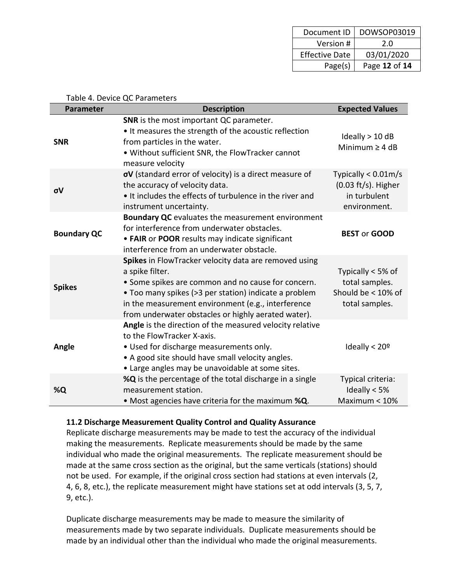| Document ID           | DOWSOP03019   |
|-----------------------|---------------|
| Version #             | 2.0           |
| <b>Effective Date</b> | 03/01/2020    |
| Page(s)               | Page 12 of 14 |

|                    | Table 4. Device QC Parameters                                                                                                                                                                                                                                                                        |                                                                                          |
|--------------------|------------------------------------------------------------------------------------------------------------------------------------------------------------------------------------------------------------------------------------------------------------------------------------------------------|------------------------------------------------------------------------------------------|
| <b>Parameter</b>   | <b>Description</b>                                                                                                                                                                                                                                                                                   | <b>Expected Values</b>                                                                   |
| <b>SNR</b>         | SNR is the most important QC parameter.<br>• It measures the strength of the acoustic reflection<br>from particles in the water.<br>. Without sufficient SNR, the FlowTracker cannot<br>measure velocity                                                                                             | Ideally $> 10$ dB<br>Minimum $\geq 4$ dB                                                 |
| σV                 | oV (standard error of velocity) is a direct measure of<br>the accuracy of velocity data.<br>• It includes the effects of turbulence in the river and<br>instrument uncertainty.                                                                                                                      | Typically $< 0.01$ m/s<br>$(0.03 \text{ ft/s})$ . Higher<br>in turbulent<br>environment. |
| <b>Boundary QC</b> | Boundary QC evaluates the measurement environment<br>for interference from underwater obstacles.<br>• FAIR or POOR results may indicate significant<br>interference from an underwater obstacle.                                                                                                     | <b>BEST or GOOD</b>                                                                      |
| <b>Spikes</b>      | Spikes in FlowTracker velocity data are removed using<br>a spike filter.<br>• Some spikes are common and no cause for concern.<br>• Too many spikes (>3 per station) indicate a problem<br>in the measurement environment (e.g., interference<br>from underwater obstacles or highly aerated water). | Typically < 5% of<br>total samples.<br>Should be < 10% of<br>total samples.              |
| Angle              | Angle is the direction of the measured velocity relative<br>to the FlowTracker X-axis.<br>. Used for discharge measurements only.<br>• A good site should have small velocity angles.<br>• Large angles may be unavoidable at some sites.                                                            | Ideally $<$ 20 <sup>o</sup>                                                              |
| %Q                 | %Q is the percentage of the total discharge in a single<br>measurement station.<br>. Most agencies have criteria for the maximum %Q.                                                                                                                                                                 | Typical criteria:<br>Ideally $< 5%$<br>Maximum $< 10\%$                                  |

#### Table 4. Device QC Parameters

#### **11.2 Discharge Measurement Quality Control and Quality Assurance**

Replicate discharge measurements may be made to test the accuracy of the individual making the measurements. Replicate measurements should be made by the same individual who made the original measurements. The replicate measurement should be made at the same cross section as the original, but the same verticals (stations) should not be used. For example, if the original cross section had stations at even intervals (2, 4, 6, 8, etc.), the replicate measurement might have stations set at odd intervals (3, 5, 7, 9, etc.).

Duplicate discharge measurements may be made to measure the similarity of measurements made by two separate individuals. Duplicate measurements should be made by an individual other than the individual who made the original measurements.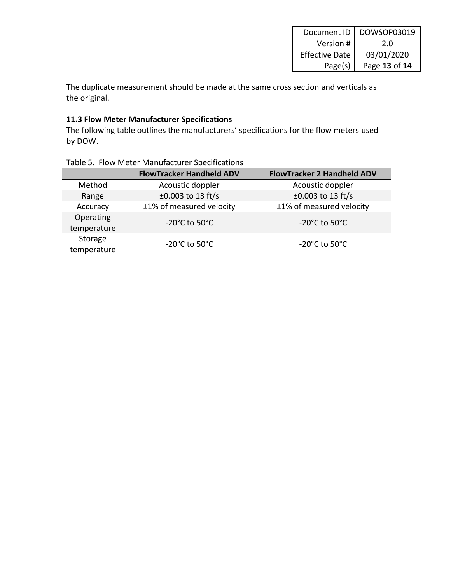| Document ID           | DOWSOP03019   |
|-----------------------|---------------|
| Version #             | 2.0           |
| <b>Effective Date</b> | 03/01/2020    |
| Page(s)               | Page 13 of 14 |

The duplicate measurement should be made at the same cross section and verticals as the original.

#### **11.3 Flow Meter Manufacturer Specifications**

The following table outlines the manufacturers' specifications for the flow meters used by DOW.

|                          | <b>FlowTracker Handheld ADV</b>    | <b>FlowTracker 2 Handheld ADV</b>  |
|--------------------------|------------------------------------|------------------------------------|
| Method                   | Acoustic doppler                   | Acoustic doppler                   |
| Range                    | $±0.003$ to 13 ft/s                | $±0.003$ to 13 ft/s                |
| Accuracy                 | ±1% of measured velocity           | ±1% of measured velocity           |
| Operating<br>temperature | $-20^{\circ}$ C to 50 $^{\circ}$ C | $-20^{\circ}$ C to 50 $^{\circ}$ C |
| Storage<br>temperature   | $-20^{\circ}$ C to 50 $^{\circ}$ C | $-20^{\circ}$ C to 50 $^{\circ}$ C |

#### Table 5. Flow Meter Manufacturer Specifications